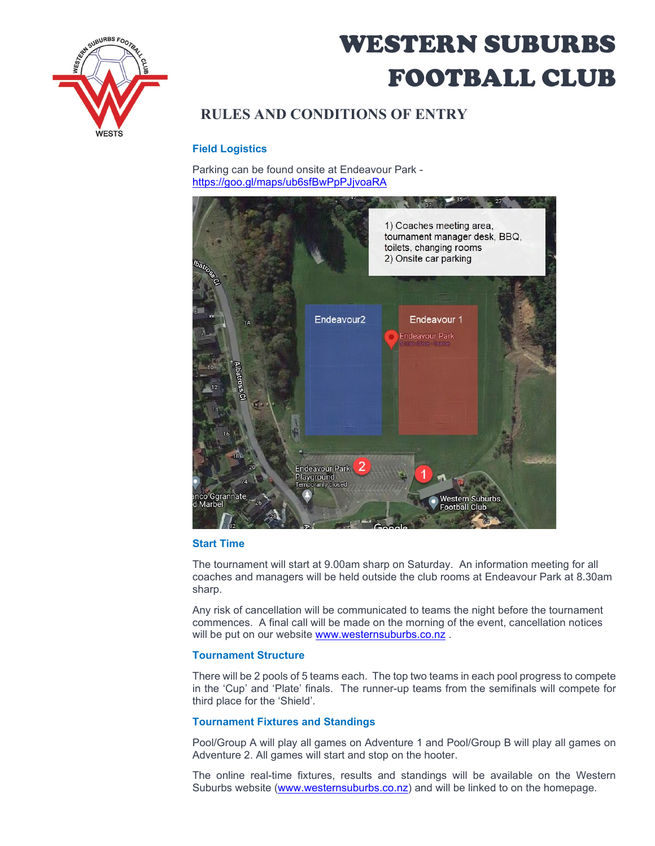

# WESTERN SUBURBS FOOTBALL CLUB

# **RULES AND CONDITIONS OF ENTRY**

## **Field Logistics**

Parking can be found onsite at Endeavour Park <https://goo.gl/maps/ub6sfBwPpPJjvoaRA>



### **Start Time**

The tournament will start at 9.00am sharp on Saturday. An information meeting for all coaches and managers will be held outside the club rooms at Endeavour Park at 8.30am sharp.

Any risk of cancellation will be communicated to teams the night before the tournament commences. A final call will be made on the morning of the event, cancellation notices will be put on our website [www.westernsuburbs.co.nz](http://www.westernsuburbs.co.nz/).

### **Tournament Structure**

There will be 2 pools of 5 teams each. The top two teams in each pool progress to compete in the 'Cup' and 'Plate' finals. The runner-up teams from the semifinals will compete for third place for the 'Shield'.

### **Tournament Fixtures and Standings**

Pool/Group A will play all games on Adventure 1 and Pool/Group B will play all games on Adventure 2. All games will start and stop on the hooter.

The online real-time fixtures, results and standings will be available on the Western Suburbs website [\(www.westernsuburbs.co.nz\)](http://www.westernsuburbs.co.nz/) and will be linked to on the homepage.